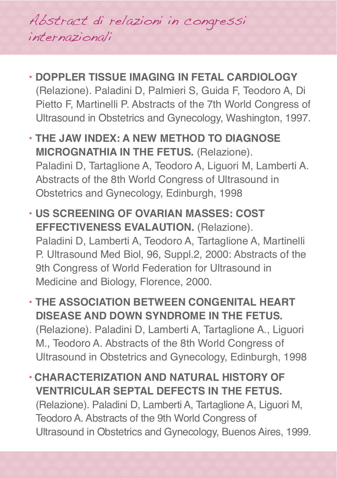Abstract di relazioni in congressi internazionali

- **DOPPLER TISSUE IMAGING IN FETAL CARDIOLOGY** (Relazione). Paladini D, Palmieri S, Guida F, Teodoro A, Di Pietto F, Martinelli P. Abstracts of the 7th World Congress of Ultrasound in Obstetrics and Gynecology, Washington, 1997.
- **THE JAW INDEX: A NEW METHOD TO DIAGNOSE MICROGNATHIA IN THE FETUS.** (Relazione). Paladini D, Tartaglione A, Teodoro A, Liguori M, Lamberti A. Abstracts of the 8th World Congress of Ultrasound in Obstetrics and Gynecology, Edinburgh, 1998
- **US SCREENING OF OVARIAN MASSES: COST EFFECTIVENESS EVALAUTION.** (Relazione). Paladini D, Lamberti A, Teodoro A, Tartaglione A, Martinelli P. Ultrasound Med Biol, 96, Suppl.2, 2000: Abstracts of the 9th Congress of World Federation for Ultrasound in Medicine and Biology, Florence, 2000.
- **THE ASSOCIATION BETWEEN CONGENITAL HEART DISEASE AND DOWN SYNDROME IN THE FETUS.** (Relazione). Paladini D, Lamberti A, Tartaglione A., Liguori M., Teodoro A. Abstracts of the 8th World Congress of Ultrasound in Obstetrics and Gynecology, Edinburgh, 1998
- **CHARACTERIZATION AND NATURAL HISTORY OF VENTRICULAR SEPTAL DEFECTS IN THE FETUS.** (Relazione). Paladini D, Lamberti A, Tartaglione A, Liguori M, Teodoro A. Abstracts of the 9th World Congress of Ultrasound in Obstetrics and Gynecology, Buenos Aires, 1999.